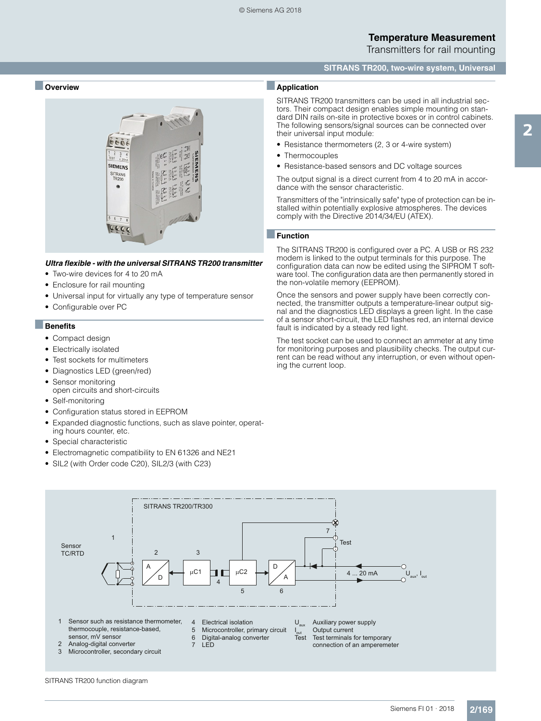#### **SITRANS TR200, two-wire system, Universal**

#### ■ **Overview**



#### *Ultra flexible - with the universal SITRANS TR200 transmitter*

- Two-wire devices for 4 to 20 mA
- Enclosure for rail mounting
- Universal input for virtually any type of temperature sensor
- Configurable over PC

#### ■**Benefits**

- Compact design
- Electrically isolated
- Test sockets for multimeters
- Diagnostics LED (green/red)
- Sensor monitoring
- open circuits and short-circuits
- Self-monitoring
- Configuration status stored in EEPROM
- Expanded diagnostic functions, such as slave pointer, operating hours counter, etc.
- Special characteristic
- Electromagnetic compatibility to EN 61326 and NE21
- SIL2 (with Order code C20), SIL2/3 (with C23)

#### ■**Application**

SITRANS TR200 transmitters can be used in all industrial sectors. Their compact design enables simple mounting on standard DIN rails on-site in protective boxes or in control cabinets. The following sensors/signal sources can be connected over their universal input module:

- Resistance thermometers (2, 3 or 4-wire system)
- Thermocouples
- Resistance-based sensors and DC voltage sources

The output signal is a direct current from 4 to 20 mA in accordance with the sensor characteristic.

Transmitters of the "intrinsically safe" type of protection can be installed within potentially explosive atmospheres. The devices comply with the Directive 2014/34/EU (ATEX).

#### ■**Function**

The SITRANS TR200 is configured over a PC. A USB or RS 232 modem is linked to the output terminals for this purpose. The configuration data can now be edited using the SIPROM T software tool. The configuration data are then permanently stored in the non-volatile memory (EEPROM).

Once the sensors and power supply have been correctly connected, the transmitter outputs a temperature-linear output signal and the diagnostics LED displays a green light. In the case of a sensor short-circuit, the LED flashes red, an internal device fault is indicated by a steady red light.

The test socket can be used to connect an ammeter at any time for monitoring purposes and plausibility checks. The output current can be read without any interruption, or even without opening the current loop.

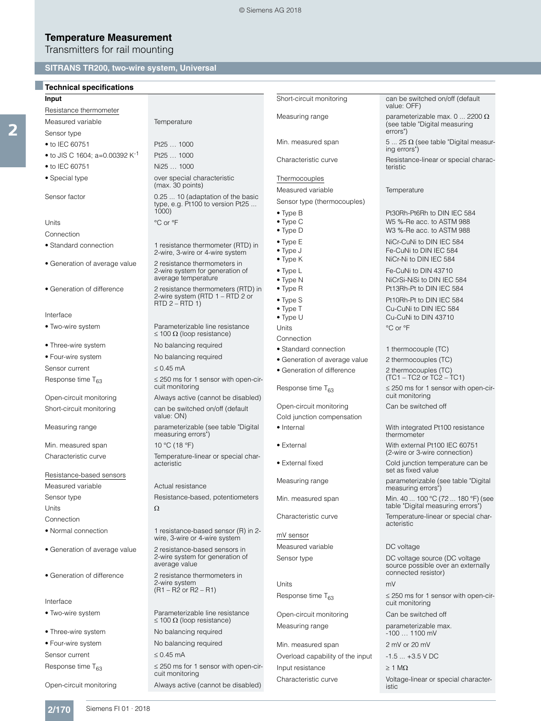# **Temperature Measurement**

Transmitters for rail mounting

### **SITRANS TR200, two-wire system, Universal**

### ■**Technical specifications**

2

| Input                                      |                                                                                             |
|--------------------------------------------|---------------------------------------------------------------------------------------------|
| Resistance thermometer                     |                                                                                             |
| Measured variable                          | Temperature                                                                                 |
| Sensor type                                |                                                                                             |
| $\bullet$ to IEC 60751                     | Pt25  1000                                                                                  |
| • to JIS C 1604; a=0.00392 K <sup>-1</sup> | Pt25  1000                                                                                  |
| $\bullet$ to IEC 60751                     | Ni25  1000                                                                                  |
| • Special type                             | over special characteristic<br>(max. 30 points)                                             |
| Sensor factor                              | 0.25  10 (adaptation of the basic<br>type, e.g. Pt100 to version Pt25<br>1000)              |
| Units                                      | °C or °F                                                                                    |
| Connection                                 |                                                                                             |
| • Standard connection                      | 1 resistance thermometer (RTD) in<br>2-wire, 3-wire or 4-wire system                        |
| • Generation of average value              | 2 resistance thermometers in<br>2-wire system for generation of<br>average temperature      |
| • Generation of difference                 | 2 resistance thermometers (RTD) in<br>2-wire system (RTD 1 – RTD 2 or<br>$RTD$ 2 – $RTD$ 1) |
| Interface                                  |                                                                                             |
| • Two-wire system                          | Parameterizable line resistance<br>$\leq$ 100 $\Omega$ (loop resistance)                    |
| • Three-wire system                        | No balancing required                                                                       |
| • Four-wire system                         | No balancing required                                                                       |
| Sensor current                             | $\leq$ 0.45 mA                                                                              |
| Response time $T_{63}$                     | $\leq$ 250 ms for 1 sensor with open-cir-<br>cuit monitoring                                |
| Open-circuit monitoring                    | Always active (cannot be disabled)                                                          |
| Short-circuit monitoring                   | can be switched on/off (default<br>value: ON)                                               |
| Measuring range                            | parameterizable (see table "Digital<br>measuring errors")                                   |
| Min. measured span                         | 10 °C (18 °F)                                                                               |
| Characteristic curve                       | Temperature-linear or special char-<br>acteristic                                           |
| Resistance-based sensors                   |                                                                                             |
| Measured variable                          | Actual resistance                                                                           |
| Sensor type                                | Resistance-based, potentiometers                                                            |
| Units                                      | Ω                                                                                           |
| Connection                                 |                                                                                             |
| • Normal connection                        | 1 resistance-based sensor (R) in 2-<br>wire, 3-wire or 4-wire system                        |
| • Generation of average value              | 2 resistance-based sensors in<br>2-wire system for generation of<br>average value           |
| • Generation of difference                 | 2 resistance thermometers in<br>2-wire system<br>$(R1 - R2 \text{ or } R2 - R1)$            |
| Interface                                  |                                                                                             |
| • Two-wire system                          | Parameterizable line resistance<br>$\leq$ 100 $\Omega$ (loop resistance)                    |
| • Three-wire system                        | No balancing required                                                                       |
| • Four-wire system                         | No balancing required                                                                       |
| Sensor current                             | $\leq 0.45$ mA                                                                              |

| Short-circuit monitoring            | can be switched on/off (default<br>value: OFF)                                             |
|-------------------------------------|--------------------------------------------------------------------------------------------|
| Measuring range                     | parameterizable max. 0  2200 $\Omega$<br>(see table "Digital measuring<br>errors")         |
| Min. measured span                  | 5  25 $\Omega$ (see table "Digital measur-<br>ing errors")                                 |
| Characteristic curve                | Resistance-linear or special charac-<br>teristic                                           |
| Thermocouples                       |                                                                                            |
| Measured variable                   | Temperature                                                                                |
| Sensor type (thermocouples)         |                                                                                            |
| $\bullet$ Type B                    | Pt30Rh-Pt6Rh to DIN IEC 584                                                                |
| $\bullet$ Type C                    | W5 %-Re acc. to ASTM 988                                                                   |
| $\bullet$ Type D                    | W3 %-Re acc. to ASTM 988                                                                   |
| $\bullet$ Type E                    | NiCr-CuNi to DIN IEC 584                                                                   |
| • Type J<br>• Type K                | Fe-CuNi to DIN IEC 584<br>NiCr-Ni to DIN IEC 584                                           |
| $\bullet$ Type L                    | Fe-CuNi to DIN 43710                                                                       |
| • Type N                            | NiCrSi-NiSi to DIN IEC 584                                                                 |
| • Type R                            | Pt13Rh-Pt to DIN IEC 584                                                                   |
| $\bullet$ Type S                    | Pt10Rh-Pt to DIN IEC 584                                                                   |
| $\bullet$ Type T                    | Cu-CuNi to DIN IEC 584                                                                     |
| • Type U                            | Cu-CuNi to DIN 43710                                                                       |
| Units                               | °C or °F                                                                                   |
| Connection<br>• Standard connection | 1 thermocouple (TC)                                                                        |
| • Generation of average value       | 2 thermocouples (TC)                                                                       |
| • Generation of difference          | 2 thermocouples (TC)<br>$(TC1 - TC2 or TC2 - TC1)$                                         |
| Response time T <sub>63</sub>       | $\leq$ 250 ms for 1 sensor with open-cir-<br>cuit monitoring                               |
| Open-circuit monitoring             | Can be switched off                                                                        |
| Cold junction compensation          |                                                                                            |
| • Internal                          | With integrated Pt100 resistance<br>thermometer                                            |
| • External                          | With external Pt100 IEC 60751<br>(2-wire or 3-wire connection)                             |
| • External fixed                    | Cold junction temperature can be<br>set as fixed value                                     |
| Measuring range                     | parameterizable (see table "Digital<br>measuring errors")                                  |
| Min. measured span                  | Min. 40  100 °C (72  180 °F) (see<br>table "Digital measuring errors")                     |
| Characteristic curve                | Temperature-linear or special char-<br>acteristic                                          |
| mV sensor                           |                                                                                            |
| Measured variable                   | DC voltage                                                                                 |
| Sensor type                         | DC voltage source (DC voltage<br>source possible over an externally<br>connected resistor) |
| Units                               | mV                                                                                         |
| Response time $T_{63}$              | $\leq$ 250 ms for 1 sensor with open-cir-<br>cuit monitoring                               |
| Open-circuit monitoring             | Can be switched off                                                                        |
| Measuring range                     | parameterizable max.<br>$-1001100$ mV                                                      |
| Min. measured span                  | 2 mV or 20 mV                                                                              |
| Overload capability of the input    | $-1.5 +3.5$ V DC                                                                           |
| Input resistance                    | $\geq 1$ M $\Omega$                                                                        |
| Characteristic curve                | Voltage-linear or special character-                                                       |
|                                     |                                                                                            |

istic

Response time  $T_{63}$   $\leq$  250 ms for 1 sensor with open-cir-

Open-circuit monitoring Always active (cannot be disabled)

cuit monitoring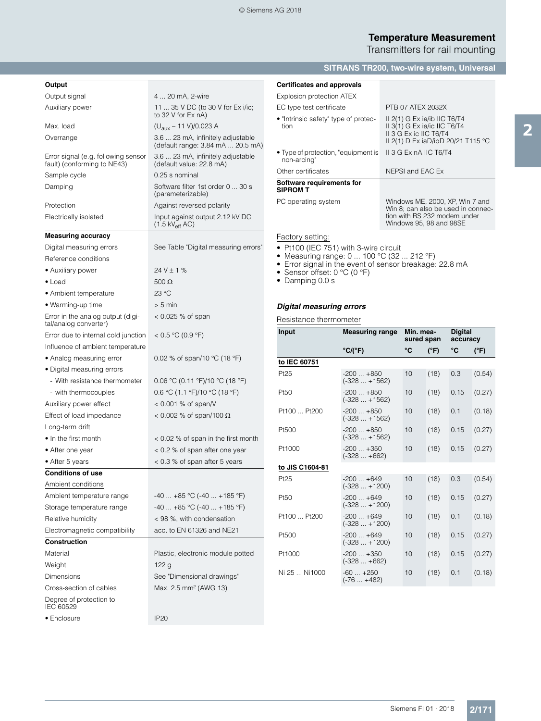### **Temperature Measurement** Transmitters for rail mounting

### **SITRANS TR200, two-wire system, Universal**

| Output                                                             |                                                                               |  |
|--------------------------------------------------------------------|-------------------------------------------------------------------------------|--|
| Output signal                                                      | 4  20 mA, 2-wire                                                              |  |
| Auxiliary power                                                    | 11  35 V DC (to 30 V for Ex i/ic;<br>to 32 V for Ex nA)                       |  |
| Max. load                                                          | $(U_{\text{aux}} - 11 \text{ V})/0.023 \text{ A}$                             |  |
| Overrange                                                          | 3.6  23 mA, infinitely adjustable<br>(default range: 3.84 mA  20.5 mA)        |  |
| Error signal (e.g. following sensor<br>fault) (conforming to NE43) | 3.6  23 mA, infinitely adjustable<br>(default value: 22.8 mA)                 |  |
| Sample cycle                                                       | 0.25 s nominal                                                                |  |
| Damping                                                            | Software filter 1st order 0  30 s<br>(parameterizable)                        |  |
| Protection                                                         | Against reversed polarity                                                     |  |
| Electrically isolated                                              | Input against output 2.12 kV DC<br>$(1.5 \text{ kV}_{\text{eff}} \text{ AC})$ |  |
| <b>Measuring accuracy</b>                                          |                                                                               |  |
| Digital measuring errors                                           | See Table "Digital measuring errors"                                          |  |
| Reference conditions                                               |                                                                               |  |
| • Auxiliary power                                                  | $24V \pm 1%$                                                                  |  |
| $\bullet$ Load                                                     | $500 \Omega$                                                                  |  |
| • Ambient temperature                                              | 23 °C                                                                         |  |
| • Warming-up time                                                  | $> 5$ min                                                                     |  |
| Error in the analog output (digi-<br>tal/analog converter)         | < 0.025 % of span                                                             |  |
| Error due to internal cold junction                                | < 0.5 °C (0.9 °F)                                                             |  |
| Influence of ambient temperature                                   |                                                                               |  |
| • Analog measuring error                                           | 0.02 % of span/10 °C (18 °F)                                                  |  |
| • Digital measuring errors                                         |                                                                               |  |
| - With resistance thermometer                                      | 0.06 °C (0.11 °F)/10 °C (18 °F)                                               |  |
| - with thermocouples                                               | $0.6 \text{ °C}$ (1.1 °F)/10 °C (18 °F)                                       |  |
| Auxiliary power effect                                             | $<$ 0.001 % of span/V                                                         |  |
| Effect of load impedance                                           | $<$ 0.002 % of span/100 $\Omega$                                              |  |
| Long-term drift                                                    |                                                                               |  |
| • In the first month                                               | < 0.02 % of span in the first month                                           |  |
| • After one year                                                   | < 0.2 % of span after one year                                                |  |
| • After 5 years                                                    | < 0.3 % of span after 5 years                                                 |  |
| <b>Conditions of use</b>                                           |                                                                               |  |
| Ambient conditions                                                 |                                                                               |  |
| Ambient temperature range                                          | $-40+85$ °C ( $-40+185$ °F)                                                   |  |
| Storage temperature range                                          | $-40$ $+85$ °C ( $-40$ $+185$ °F)                                             |  |
| Relative humidity                                                  | < 98 %, with condensation                                                     |  |
| Electromagnetic compatibility                                      | acc. to EN 61326 and NE21                                                     |  |
| <b>Construction</b>                                                |                                                                               |  |
| Material                                                           | Plastic, electronic module potted                                             |  |
| Weight                                                             | 122 g                                                                         |  |
| Dimensions                                                         | See "Dimensional drawings"                                                    |  |
| Cross-section of cables                                            | Max. 2.5 mm <sup>2</sup> (AWG 13)                                             |  |
| Degree of protection to<br>IEC 60529                               |                                                                               |  |
| • Enclosure                                                        | <b>IP20</b>                                                                   |  |

| <b>Certificates and approvals</b>                  |                                                                                                                                  |
|----------------------------------------------------|----------------------------------------------------------------------------------------------------------------------------------|
| Explosion protection ATEX                          |                                                                                                                                  |
| EC type test certificate                           | PTB 07 ATEX 2032X                                                                                                                |
| • "Intrinsic safety" type of protec-<br>tion       | II $2(1)$ G Ex ia/ib IIC T6/T4<br>II 3(1) G Ex ia/ic IIC T6/T4<br>II 3 G Ex ic IIC T6/T4<br>II 2(1) D Ex iaD/ibD 20/21 T115 °C   |
| • Type of protection, "equipment is<br>non-arcing" | II 3 G Ex nA IIC T6/T4                                                                                                           |
| Other certificates                                 | NEPSI and EAC Ex                                                                                                                 |
| Software requirements for<br><b>SIPROM T</b>       |                                                                                                                                  |
| PC operating system                                | Windows ME, 2000, XP, Win 7 and<br>Win 8; can also be used in connec-<br>tion with RS 232 modem under<br>Windows 95, 98 and 98SE |
| Factory setting:                                   |                                                                                                                                  |

**Factory setting:** 

- Pt100 (IEC 751) with 3-wire circuit
- Measuring range: 0 ... 100 °C (32 ... 212 °F)
- Error signal in the event of sensor breakage: 22.8 mA
- Sensor offset: 0 °C (0 °F)
- Damping 0.0 s

### *Digital measuring errors*

Resistance thermometer

| Input           | <b>Measuring range</b>         | Min. mea-<br>sured span |               | <b>Digital</b><br>accuracy |               |
|-----------------|--------------------------------|-------------------------|---------------|----------------------------|---------------|
|                 | °C/(°F)                        | °C                      | $(^{\circ}F)$ | °C                         | $(^{\circ}F)$ |
| to IEC 60751    |                                |                         |               |                            |               |
| Pt25            | $-200+850$<br>$(-328 + 1562)$  | 10                      | (18)          | 0.3                        | (0.54)        |
| Pt50            | $-200+850$<br>$(-328 + 1562)$  | 10                      | (18)          | 0.15                       | (0.27)        |
| Pt100  Pt200    | $-200+850$<br>$(-328  + 1562)$ | 10                      | (18)          | 0.1                        | (0.18)        |
| Pt500           | $-200+850$<br>$(-328+1562)$    | 10                      | (18)          | 0.15                       | (0.27)        |
| Pt1000          | $-200+350$<br>$(-328 +662)$    | 10                      | (18)          | 0.15                       | (0.27)        |
| to JIS C1604-81 |                                |                         |               |                            |               |
| Pt25            | $-200+649$<br>$(-328 + 1200)$  | 10                      | (18)          | 0.3                        | (0.54)        |
| Pt50            | $-200+649$<br>$(-328 + 1200)$  | 10                      | (18)          | 0.15                       | (0.27)        |
| Pt100  Pt200    | $-200+649$<br>$(-328 + 1200)$  | 10                      | (18)          | 0.1                        | (0.18)        |
| Pt500           | $-200+649$<br>$(-328  + 1200)$ | 10                      | (18)          | 0.15                       | (0.27)        |
| Pt1000          | $-200+350$<br>$(-328 +662)$    | 10                      | (18)          | 0.15                       | (0.27)        |
| Ni 25  Ni 1000  | $-60+250$<br>(-76  +482)       | 10                      | (18)          | 0.1                        | (0.18)        |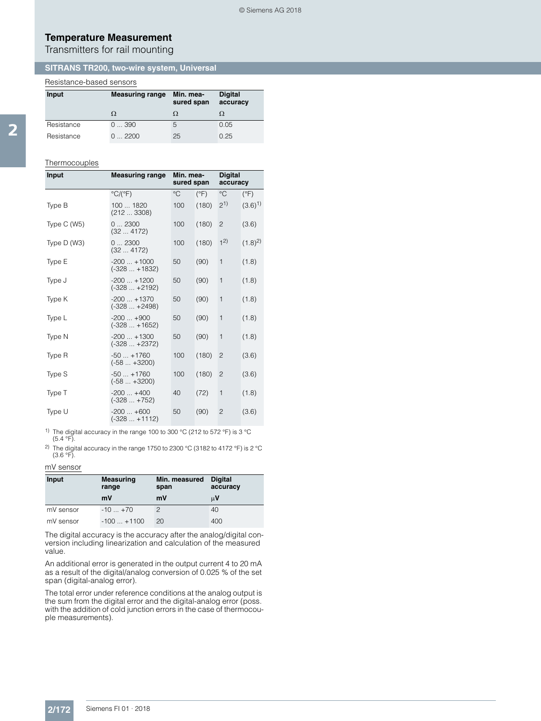### **Temperature Measurement**

Transmitters for rail mounting

#### **SITRANS TR200, two-wire system, Universal**

### Resistance-based sensors

| Input      | <b>Measuring range</b> | Min. mea-<br>sured span | <b>Digital</b><br>accuracy |
|------------|------------------------|-------------------------|----------------------------|
|            | Ω                      | Ω                       |                            |
| Resistance | 0390                   | 5                       | 0.05                       |
| Resistance | $\ldots$ 2200          | 25                      | 0.25                       |

#### Thermocouples

| Input        | Min. mea-<br><b>Measuring range</b><br>sured span |             | <b>Digital</b><br>accuracy |                |               |
|--------------|---------------------------------------------------|-------------|----------------------------|----------------|---------------|
|              | $\mathrm{C}/\mathrm{C}$ F)                        | $^{\circ}C$ | $(^{\circ}F)$              | $^{\circ}C$    | $(^{\circ}F)$ |
| Type B       | 100  1820<br>(2123308)                            | 100         | (180)                      | $2^{1}$        | $(3.6)^{1}$   |
| Type $C(W5)$ | 02300<br>(324172)                                 | 100         | (180)                      | 2              | (3.6)         |
| Type $D(W3)$ | 02300<br>(324172)                                 | 100         | (180)                      | 1 <sup>2</sup> | $(1.8)^2$     |
| Type E       | $-200+1000$<br>$(-328 + 1832)$                    | 50          | (90)                       | $\mathbf{1}$   | (1.8)         |
| Type J       | $-200+1200$<br>$(-328  +2192)$                    | 50          | (90)                       | $\mathbf{1}$   | (1.8)         |
| Type K       | $-200+1370$<br>$(-328+2498)$                      | 50          | (90)                       | $\mathbf{1}$   | (1.8)         |
| Type L       | $-200+900$<br>$(-328 + 1652)$                     | 50          | (90)                       | $\mathbf{1}$   | (1.8)         |
| Type N       | $-200+1300$<br>$(-328  +2372)$                    | 50          | (90)                       | $\mathbf{1}$   | (1.8)         |
| Type R       | $-50+1760$<br>$(-58 +3200)$                       | 100         | (180)                      | $\overline{c}$ | (3.6)         |
| Type S       | $-50+1760$<br>$(-58 +3200)$                       | 100         | (180)                      | $\overline{c}$ | (3.6)         |
| Type T       | $-200+400$<br>$(-328 + 752)$                      | 40          | (72)                       | $\mathbf{1}$   | (1.8)         |
| Type U       | $-200+600$<br>$(-328  +1112)$                     | 50          | (90)                       | $\overline{c}$ | (3.6)         |

<sup>1)</sup> The digital accuracy in the range 100 to 300 °C (212 to 572 °F) is 3 °C  $(5.4 °F)$ .

<sup>2)</sup> The digital accuracy in the range 1750 to 2300 °C (3182 to 4172 °F) is 2 °C (3.6 °F).

#### mV sensor

| Input     | <b>Measuring</b><br>range | Min. measured<br>span | <b>Digital</b><br>accuracy |
|-----------|---------------------------|-----------------------|----------------------------|
|           | mV                        | mV                    | μV                         |
| mV sensor | $-10+70$                  |                       | 40                         |
| mV sensor | $-100+1100$               | 20                    | 400                        |

The digital accuracy is the accuracy after the analog/digital conversion including linearization and calculation of the measured value.

An additional error is generated in the output current 4 to 20 mA as a result of the digital/analog conversion of 0.025 % of the set span (digital-analog error).

The total error under reference conditions at the analog output is the sum from the digital error and the digital-analog error (poss. with the addition of cold junction errors in the case of thermocouple measurements).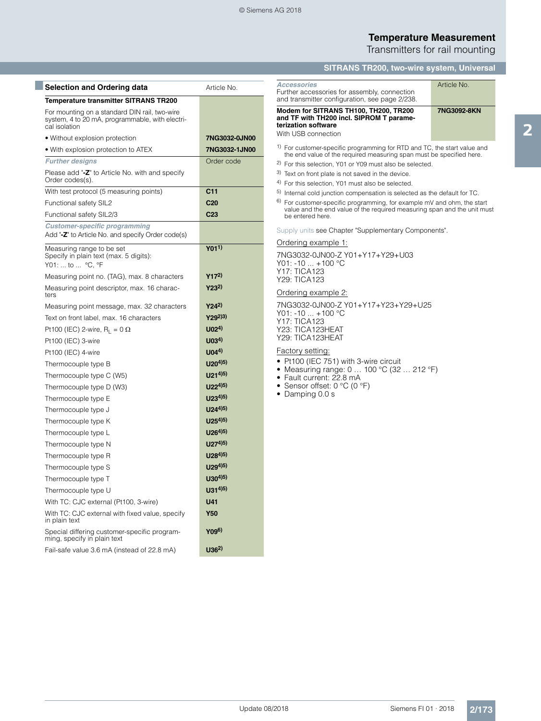#### **Temperature Measurement** Transmitters for rail mounting

**SITRANS TR200, two-wire system, Universal**

| <b>Selection and Ordering data</b>                                                                                | Article No.                  |
|-------------------------------------------------------------------------------------------------------------------|------------------------------|
| Temperature transmitter SITRANS TR200                                                                             |                              |
| For mounting on a standard DIN rail, two-wire<br>system, 4 to 20 mA, programmable, with electri-<br>cal isolation |                              |
| • Without explosion protection                                                                                    | 7NG3032-0JN00                |
| • With explosion protection to ATEX                                                                               | 7NG3032-1JN00                |
| <b>Further designs</b>                                                                                            | Order code                   |
| Please add "-Z" to Article No. with and specify<br>Order codes(s).                                                |                              |
| With test protocol (5 measuring points)                                                                           | C <sub>11</sub>              |
| Functional safety SIL2                                                                                            | C <sub>20</sub>              |
| Functional safety SIL2/3                                                                                          | C <sub>23</sub>              |
| <b>Customer-specific programming</b><br>Add "-Z" to Article No. and specify Order code(s)                         |                              |
| Measuring range to be set<br>Specify in plain text (max. 5 digits):<br>Y01:  to  °C, °F                           | $Y_011)$                     |
| Measuring point no. (TAG), max. 8 characters                                                                      | $Y17^{2}$                    |
| Measuring point descriptor, max. 16 charac-<br>ters                                                               | $Y23^{2}$                    |
| Measuring point message, max. 32 characters                                                                       | $Y24^{2}$                    |
| Text on front label, max. 16 characters                                                                           | $Y29^{2})^{3}$               |
| Pt100 (IEC) 2-wire, $R_1 = 0 \Omega$                                                                              | U <sub>02</sub> <sup>4</sup> |
| Pt100 (IEC) 3-wire                                                                                                | U(03 <sup>4</sup> )          |
| Pt100 (IEC) 4-wire                                                                                                | U(04 <sup>4</sup> )          |
| Thermocouple type B                                                                                               | $U20^{4(5)}$                 |
| Thermocouple type C (W5)                                                                                          | $U21^{4(5)}$                 |
| Thermocouple type D (W3)                                                                                          | $U22^{4(5)}$                 |
| Thermocouple type E                                                                                               | $U23^{4(5)}$                 |
| Thermocouple type J                                                                                               | $U24^{4(5)}$                 |
| Thermocouple type K                                                                                               | $U25^{4}$ <sup>5)</sup>      |
| Thermocouple type L                                                                                               | $U26^{4(5)}$                 |
| Thermocouple type N                                                                                               | $U27^{4(5)}$                 |
| Thermocouple type R                                                                                               | $U28^{4(5)}$                 |
| Thermocouple type S                                                                                               | $U29^{4(5)}$                 |
| Thermocouple type T                                                                                               | $U30^{4(5)}$                 |
| Thermocouple type U                                                                                               | $U31^{4(5)}$                 |
| With TC: CJC external (Pt100, 3-wire)                                                                             | U41                          |
| With TC: CJC external with fixed value, specify<br>in plain text                                                  | <b>Y50</b>                   |
| Special differing customer-specific program-<br>ming, specify in plain text                                       | Y09 <sup>6)</sup>            |
| Fail-safe value 3.6 mA (instead of 22.8 mA)                                                                       | U36 <sup>2</sup>             |

upply units see Chapter "Supplementary Components". Ordering example 1: 7NG3032-0JN00-Z Y01+Y17+Y29+U03  $701: -10 ... +100 °C$ Y17: TICA123 Y29: TICA123 *Accessories* Further accessories for assembly, connection and transmitter configuration, see page 2/238. Article No. **Modem for SITRANS TH100, TH200, TR200 and TF with TH200 incl. SIPROM T parameterization software 7NG3092-8KN /ith USB connection** For customer-specific programming for RTD and TC, the start value and the end value of the required measuring span must be specified here. For this selection, Y01 or Y09 must also be selected. Text on front plate is not saved in the device. For this selection, Y01 must also be selected. 5) Internal cold junction compensation is selected as the default for TC. 6) For customer-specific programming, for example mV and ohm, the start value and the end value of the required measuring span and the unit must be entered here.

Ordering example 2:

7NG3032-0JN00-Z Y01+Y17+Y23+Y29+U25  $701: -10 ... +100 °C$ Y17: TICA123 Y23: TICA123HEAT Y29: TICA123HEAT

#### actory setting:

Pt100 (IEC 751) with 3-wire circuit

- Measuring range: 0 … 100 °C (32 … 212 °F)
- Fault current: 22.8 mA
- Sensor offset: 0 °C (0 °F)
- Damping 0.0 s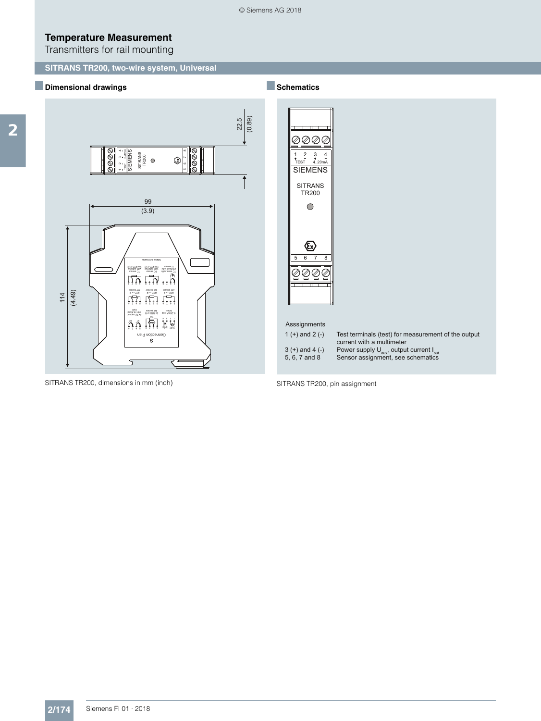$\frac{22.5}{0.89}$ 

 $\overline{1}$ 

## **Temperature Measurement**

Transmitters for rail mounting

### ■**Dimensional drawings**



SITRANS TR200, dimensions in mm (inch)

■**Schematics**



SITRANS TR200, pin assignment